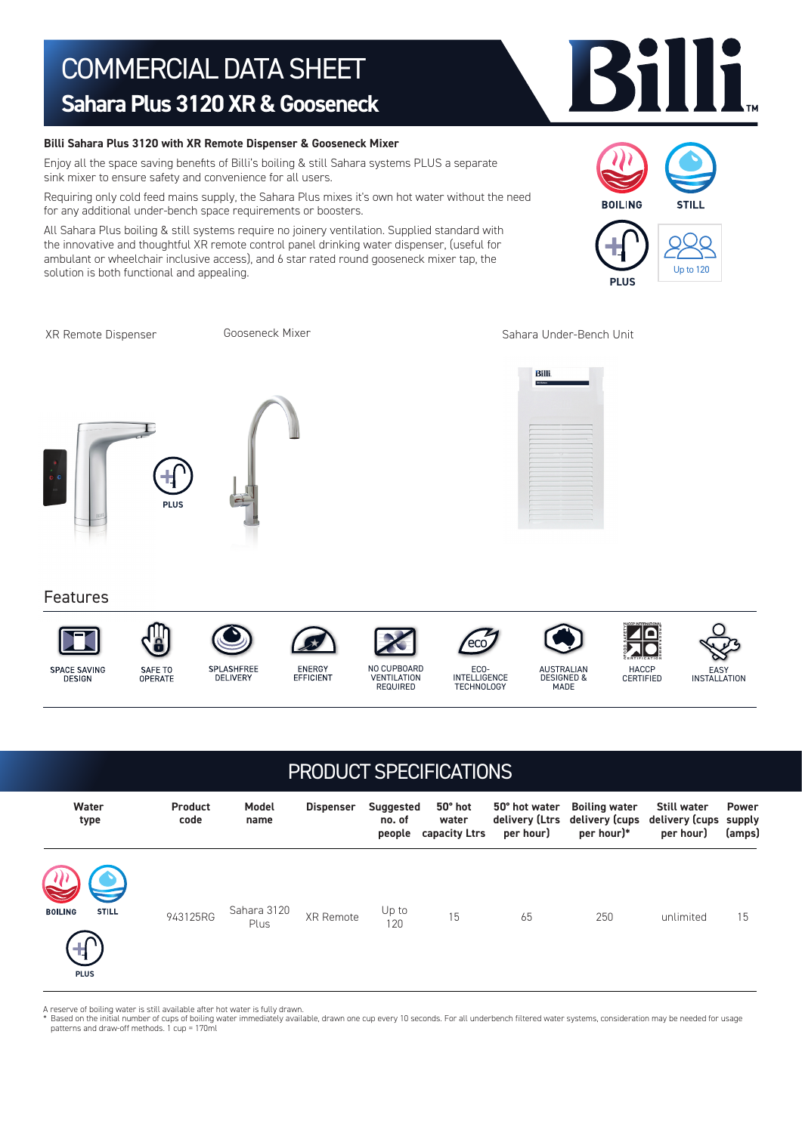# COMMERCIAL DATA SHEET **Sahara Plus 3120 XR & Gooseneck**

### **Billi Sahara Plus 3120 with XR Remote Dispenser & Gooseneck Mixer**

Enjoy all the space saving benefits of Billi's boiling & still Sahara systems PLUS a separate sink mixer to ensure safety and convenience for all users.

Requiring only cold feed mains supply, the Sahara Plus mixes it's own hot water without the need for any additional under-bench space requirements or boosters.

All Sahara Plus boiling & still systems require no joinery ventilation. Supplied standard with the innovative and thoughtful XR remote control panel drinking water dispenser, (useful for ambulant or wheelchair inclusive access), and 6 star rated round gooseneck mixer tap, the solution is both functional and appealing.

Gooseneck Mixer

XR Remote Dispenser The Society Cooseneck Mixer Sahara Under-Bench Unit

**PLUS**

**BOILING** 



SAFE TO

OPERATE



Features



DESIGN





**DELIVERY** 















### PRODUCT SPECIFICATIONS

| Water<br>type                                          | <b>Product</b><br>code | Model<br>name       | <b>Dispenser</b> | <b>Suggested</b><br>no. of<br>people | 50° hot<br>water<br>capacity Ltrs | 50° hot water<br>per hour) | <b>Boiling water</b><br>delivery (Ltrs delivery (cups<br>per hour)* | Still water<br>delivery (cups supply<br>per hour) | Power<br>(amps) |
|--------------------------------------------------------|------------------------|---------------------|------------------|--------------------------------------|-----------------------------------|----------------------------|---------------------------------------------------------------------|---------------------------------------------------|-----------------|
| <b>STILL</b><br><b>BOILING</b><br>$\pm$<br><b>PLUS</b> | 943125RG               | Sahara 3120<br>Plus | XR Remote        | Up to<br>120                         | 15                                | 65                         | 250                                                                 | unlimited                                         | 15              |

A reserve of boiling water is still available after hot water is fully drawn.

\* Based on the initial number of cups of boiling water immediately available, drawn one cup every 10 seconds. For all underbench filtered water systems, consideration may be needed for usage<br>patterns and draw-off methods.



Up to 120

STILL.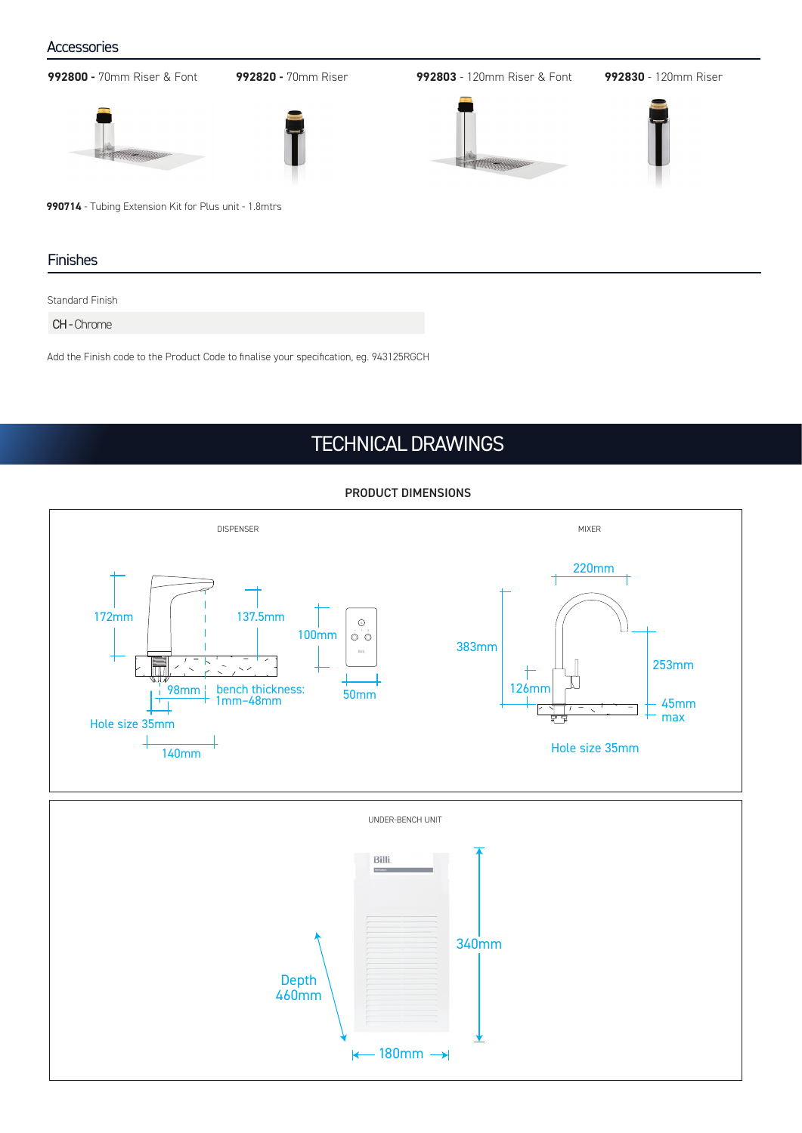### **Accessories**

**992800 -** 70mm Riser & Font **992820 -** 70mm Riser **992803** - 120mm Riser & Font **992830** - 120mm Riser **990714** - Tubing Extension Kit for Plus unit - 1.8mtrs Finishes

Standard Finish

CH - Chrome

Add the Finish code to the Product Code to finalise your specification, eg. 943125RGCH

## TECHNICAL DRAWINGS





### PRODUCT DIMENSIONS